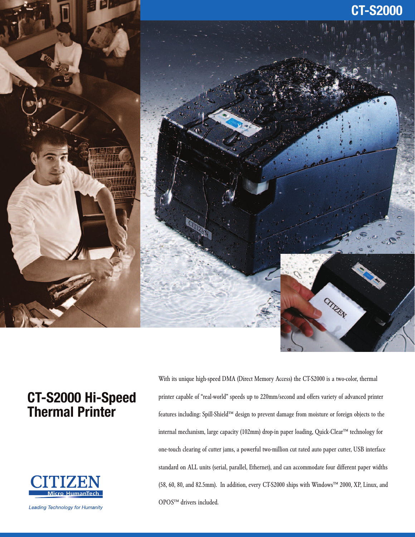

# **CT-S2000 Hi-Speed Thermal Printer**



**Leading Technology for Humanity** 

With its unique high-speed DMA (Direct Memory Access) the CT-S2000 is a two-color, thermal printer capable of "real-world" speeds up to 220mm/second and offers variety of advanced printer features including: Spill-Shield™ design to prevent damage from moisture or foreign objects to the internal mechanism, large capacity (102mm) drop-in paper loading, Quick-Clear™ technology for one-touch clearing of cutter jams, a powerful two-million cut rated auto paper cutter, USB interface standard on ALL units (serial, parallel, Ethernet), and can accommodate four different paper widths (58, 60, 80, and 82.5mm). In addition, every CT-S2000 ships with Windows™ 2000, XP, Linux, and OPOS™ drivers included.